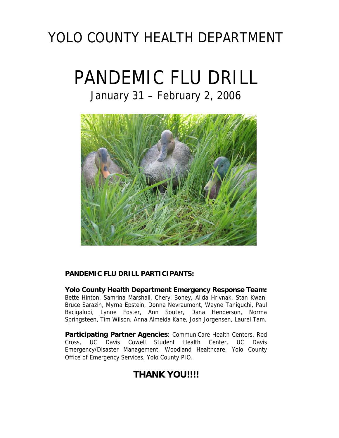## YOLO COUNTY HEALTH DEPARTMENT

# PANDEMIC FLU DRILL

## January 31 – February 2, 2006



#### **PANDEMIC FLU DRILL PARTICIPANTS:**

**Yolo County Health Department Emergency Response Team:** Bette Hinton, Samrina Marshall, Cheryl Boney, Alida Hrivnak, Stan Kwan, Bruce Sarazin, Myrna Epstein, Donna Nevraumont, Wayne Taniguchi, Paul Bacigalupi, Lynne Foster, Ann Souter, Dana Henderson, Norma Springsteen, Tim Wilson, Anna Almeida Kane, Josh Jorgensen, Laurel Tam.

**Participating Partner Agencies**: CommuniCare Health Centers, Red Cross, UC Davis Cowell Student Health Center, UC Davis Emergency/Disaster Management, Woodland Healthcare, Yolo County Office of Emergency Services, Yolo County PIO.

## **THANK YOU!!!!**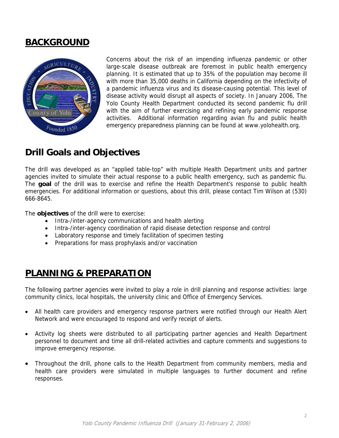## **BACKGROUND**



Concerns about the risk of an impending influenza pandemic or other large-scale disease outbreak are foremost in public health emergency planning. It is estimated that up to 35% of the population may become ill with more than 35,000 deaths in California depending on the infectivity of a pandemic influenza virus and its disease-causing potential. This level of disease activity would disrupt all aspects of society. In January 2006, The Yolo County Health Department conducted its second pandemic flu drill with the aim of further exercising and refining early pandemic response activities. Additional information regarding avian flu and public health emergency preparedness planning can be found at www.yolohealth.org.

## **Drill Goals and Objectives**

The drill was developed as an "applied table-top" with multiple Health Department units and partner agencies invited to simulate their actual response to a public health emergency, such as pandemic flu. The **goal** of the drill was to exercise and refine the Health Department's response to public health emergencies. For additional information or questions, about this drill, please contact Tim Wilson at (530) 666-8645.

The **objectives** of the drill were to exercise:

- Intra-/inter-agency communications and health alerting
- Intra-/inter-agency coordination of rapid disease detection response and control
- Laboratory response and timely facilitation of specimen testing
- Preparations for mass prophylaxis and/or vaccination

## **PLANNING & PREPARATION**

The following partner agencies were invited to play a role in drill planning and response activities: large community clinics, local hospitals, the university clinic and Office of Emergency Services.

- All health care providers and emergency response partners were notified through our Health Alert Network and were encouraged to respond and verify receipt of alerts.
- Activity log sheets were distributed to all participating partner agencies and Health Department personnel to document and time all drill-related activities and capture comments and suggestions to improve emergency response.
- Throughout the drill, phone calls to the Health Department from community members, media and health care providers were simulated in multiple languages to further document and refine responses.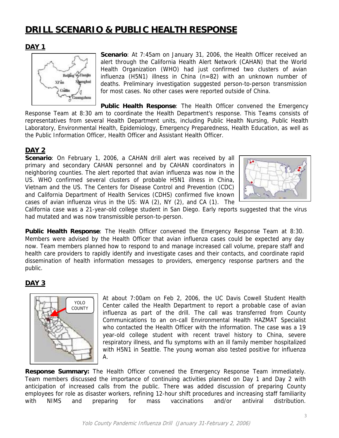## **DRILL SCENARIO & PUBLIC HEALTH RESPONSE**

#### **DAY 1**



**Scenario**: At 7:45am on January 31, 2006, the Health Officer received an alert through the California Health Alert Network (CAHAN) that the World Health Organization (WHO) had just confirmed two clusters of avian influenza (H5N1) illness in China (n=82) with an unknown number of deaths. Preliminary investigation suggested person-to-person transmission for most cases. No other cases were reported outside of China.

**Public Health Response**: The Health Officer convened the Emergency Response Team at 8:30 am to coordinate the Health Department's response. This Teams consists of representatives from several Health Department units, including Public Health Nursing, Public Health Laboratory, Environmental Health, Epidemiology, Emergency Preparedness, Health Education, as well as the Public Information Officer, Health Officer and Assistant Health Officer.

#### **DAY 2**

**Scenario**: On February 1, 2006, a CAHAN drill alert was received by all primary and secondary CAHAN personnel and by CAHAN coordinators in neighboring counties. The alert reported that avian influenza was now in the US. WHO confirmed several clusters of probable H5N1 illness in China, Vietnam and the US. The Centers for Disease Control and Prevention (CDC) and California Department of Health Services (CDHS) confirmed five known cases of avian influenza virus in the US: WA (2), NY (2), and CA (1). The



California case was a 21-year-old college student in San Diego. Early reports suggested that the virus had mutated and was now transmissible person-to-person.

**Public Health Response**: The Health Officer convened the Emergency Response Team at 8:30. Members were advised by the Health Officer that avian influenza cases could be expected any day now. Team members planned how to respond to and manage increased call volume, prepare staff and health care providers to rapidly identify and investigate cases and their contacts, and coordinate rapid dissemination of health information messages to providers, emergency response partners and the public.

#### **DAY 3**



At about 7:00am on Feb 2, 2006, the UC Davis Cowell Student Health Center called the Health Department to report a probable case of avian influenza as part of the drill. The call was transferred from County Communications to an on-call Environmental Health HAZMAT Specialist who contacted the Health Officer with the information. The case was a 19 year-old college student with recent travel history to China, severe respiratory illness, and flu symptoms with an ill family member hospitalized with H5N1 in Seattle. The young woman also tested positive for influenza A.

**Response Summary:** The Health Officer convened the Emergency Response Team immediately. Team members discussed the importance of continuing activities planned on Day 1 and Day 2 with anticipation of increased calls from the public. There was added discussion of preparing County employees for role as disaster workers, refining 12-hour shift procedures and increasing staff familiarity with NIMS and preparing for mass vaccinations and/or antiviral distribution.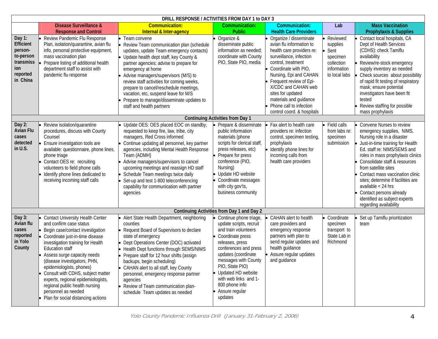| DRILL RESPONSE / ACTIVITIES FROM DAY 1 to DAY 3                                         |                                                                                                                                                                                                                                                                                                                                                                                                                                                                                        |                                                                                                                                                                                                                                                                                                                                                                                                                                                                  |                                                                                                                                                                                                                                                                                                           |                                                                                                                                                                                                                                                                                                                                              |                                                                                        |                                                                                                                                                                                                                                                                                                                                                                                                                                             |  |  |
|-----------------------------------------------------------------------------------------|----------------------------------------------------------------------------------------------------------------------------------------------------------------------------------------------------------------------------------------------------------------------------------------------------------------------------------------------------------------------------------------------------------------------------------------------------------------------------------------|------------------------------------------------------------------------------------------------------------------------------------------------------------------------------------------------------------------------------------------------------------------------------------------------------------------------------------------------------------------------------------------------------------------------------------------------------------------|-----------------------------------------------------------------------------------------------------------------------------------------------------------------------------------------------------------------------------------------------------------------------------------------------------------|----------------------------------------------------------------------------------------------------------------------------------------------------------------------------------------------------------------------------------------------------------------------------------------------------------------------------------------------|----------------------------------------------------------------------------------------|---------------------------------------------------------------------------------------------------------------------------------------------------------------------------------------------------------------------------------------------------------------------------------------------------------------------------------------------------------------------------------------------------------------------------------------------|--|--|
|                                                                                         | <b>Disease Surveillance &amp;</b><br><b>Response and Control</b>                                                                                                                                                                                                                                                                                                                                                                                                                       | <b>Communication:</b><br><b>Internal &amp; Inter-agency</b>                                                                                                                                                                                                                                                                                                                                                                                                      | Communication:<br><b>Public</b>                                                                                                                                                                                                                                                                           | Communication:<br><b>Health Care Providers</b>                                                                                                                                                                                                                                                                                               | Lab                                                                                    | <b>Mass Vaccination</b><br><b>Prophylaxis &amp; Supplies</b>                                                                                                                                                                                                                                                                                                                                                                                |  |  |
| Day 1:<br>Efficient<br>person-<br>to-person<br>transmiss<br>ion<br>reported<br>in China | Review Pandemic Flu Response<br>Plan, isolation/quarantine, avian flu<br>info, personal protective equipment,<br>mass vaccination plan<br>Prepare listing of additional health<br>department staff to assist with<br>pandemic flu response                                                                                                                                                                                                                                             | Team convene<br>Review Team communication plan (schedule<br>updates, update Team emergency contacts)<br>• Update health dept staff, key County &<br>partner agencies; advise to prepare for<br>emergency at home<br>Advise managers/supervisors (M/S) to<br>review staff activities for coming weeks,<br>prepare to cancel/reschedule meetings,<br>vacation, etc, suspend leave for M/S<br>Prepare to manage/disseminate updates to<br>staff and health partners | Organize &<br>disseminate public<br>information as needed;<br>coordinate with County<br>PIO, State PIO, media                                                                                                                                                                                             | Organize / disseminate<br>avian flu information to<br>health care providers re:<br>surveillance, infection<br>control, treatment<br>Coordinate with PIO.<br>Nursing, Epi and CAHAN<br>Frequent review of Epi-<br>X/CDC and CAHAN web<br>sites for updated<br>materials and guidance<br>Phone call to infection<br>control coord. & hospitals | Reviewed<br>supplies<br>Sent<br>specimen<br>collection<br>information<br>to local labs | Contact local hospitals, CA<br>Dept of Health Services<br>(CDHS): check Tamiflu<br>availability<br>Review/re-stock emergency<br>supply inventory as needed<br>Check sources about possibility<br>of rapid fit testing of respiratory<br>mask; ensure potential<br>investigators have been fit<br>tested<br>Review staffing for possible<br>mass prophylaxis                                                                                 |  |  |
|                                                                                         | <b>Continuing Activities from Day 1</b>                                                                                                                                                                                                                                                                                                                                                                                                                                                |                                                                                                                                                                                                                                                                                                                                                                                                                                                                  |                                                                                                                                                                                                                                                                                                           |                                                                                                                                                                                                                                                                                                                                              |                                                                                        |                                                                                                                                                                                                                                                                                                                                                                                                                                             |  |  |
| Day 2:<br><b>Avian Flu</b><br>cases<br>detected<br>in U.S.                              | Review isolation/quarantine<br>procedures, discuss with County<br>Counsel<br>Ensure investigation tools are<br>available: questionnaire, phone lines,<br>phone triage<br>• Contact OES re: recruiting<br>volunteers to field phone calls<br>Identify phone lines dedicated to<br>receiving incoming staff calls                                                                                                                                                                        | • Update OES: OES placed EOC on standby,<br>requested to keep fire, law, tribe, city<br>managers, Red Cross informed<br>Continue updating all personnel, key partner<br>agencies, including Mental Health Response<br>Team (ADMH)<br>Advise managers/supervisors to cancel<br>upcoming meetings and reassign HD staff<br>Schedule Team meetings twice daily<br>Set-up and test 1-800 teleconferencing<br>capability for communication with partner<br>agencies   | Prepare & disseminate<br>public information<br>materials (phone<br>scripts for clerical staff,<br>press releases, etc)<br>Prepare for press<br>conference (PIO,<br>Nursing)<br>Update HD website<br>Coordinate messages<br>with city gov'ts,<br>business community                                        | Fax alert to health care<br>providers re: infection<br>control, specimen testing,<br>prophylaxis<br>Identify phone lines for<br>incoming calls from<br>health care providers                                                                                                                                                                 | Field calls<br>from labs re:<br>specimen<br>submission                                 | Convene Nurses to review<br>emergency supplies, NIMS,<br>Nursing role in a disaster<br>Just-in-time training for Health<br>Ed. staff re: NIMS/SEMS and<br>roles in mass prophylaxis clinics<br>Consolidate staff & resources<br>from satellite sites<br>Contact mass vaccination clinic<br>sites; determine if facilities are<br>available $<$ 24 hrs<br>Contact persons already<br>identified as subject experts<br>regarding availability |  |  |
|                                                                                         | Continuing Activities from Day 1 and Day 2                                                                                                                                                                                                                                                                                                                                                                                                                                             |                                                                                                                                                                                                                                                                                                                                                                                                                                                                  |                                                                                                                                                                                                                                                                                                           |                                                                                                                                                                                                                                                                                                                                              |                                                                                        |                                                                                                                                                                                                                                                                                                                                                                                                                                             |  |  |
| Day 3:<br>Avian flu<br>cases<br>reported<br>in Yolo<br>County                           | <b>Contact University Health Center</b><br>and confirm case status<br><b>Begin case/contact investigation</b><br>Coordinate just-in-time disease<br>investigation training for Health<br><b>Education staff</b><br>Assess surge capacity needs<br>(disease investigators, PHN,<br>epidemiologists, phones)<br>• Consult with CDHS, subject matter<br>experts, regional epidemiologists,<br>regional public health nursing<br>personnel as needed<br>Plan for social distancing actions | • Alert State Health Department, neighboring<br>counties<br>Request Board of Supervisors to declare<br>state of emergency<br>Dept Operations Center (DOC) activated<br>Health Dept functions through SEMS/NIMS<br>Prepare staff for 12 hour shifts (assign<br>backups, begin scheduling)<br>CAHAN alert to all staff, key County<br>personnel, emergency response partner<br>agencies<br>• Review of Team communication plan-<br>schedule Team updates as needed | Continue phone triage,<br>update scripts, recruit<br>and train volunteers<br>Coordinate press<br>releases, press<br>conferences and press<br>updates (coordinate<br>messages with County<br>PIO, State PIO)<br>Updated HD website<br>with web links and 1-<br>800 phone info<br>Assure regular<br>updates | CAHAN alert to health<br>care providers and<br>emergency response<br>partners with plan to<br>send regular updates and<br>health guidance<br>Assure regular updates<br>and guidance                                                                                                                                                          | Coordinate<br>specimen<br>transport to<br>State Lab in<br>Richmond                     | Set up Tamiflu prioritization<br>team                                                                                                                                                                                                                                                                                                                                                                                                       |  |  |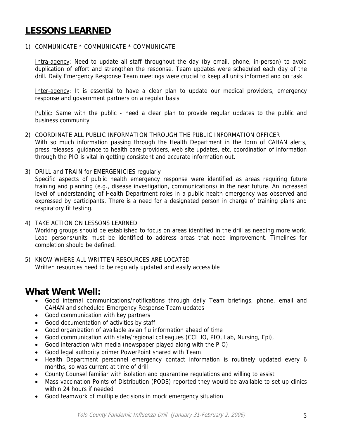## **LESSONS LEARNED**

1) COMMUNICATE \* COMMUNICATE \* COMMUNICATE

Intra-agency: Need to update all staff throughout the day (by email, phone, in-person) to avoid duplication of effort and strengthen the response. Team updates were scheduled each day of the drill. Daily Emergency Response Team meetings were crucial to keep all units informed and on task.

Inter-agency: It is essential to have a clear plan to update our medical providers, emergency response and government partners on a regular basis

Public: Same with the public - need a clear plan to provide regular updates to the public and business community

- 2) COORDINATE ALL PUBLIC INFORMATION THROUGH THE PUBLIC INFORMATION OFFICER With so much information passing through the Health Department in the form of CAHAN alerts, press releases, guidance to health care providers, web site updates, etc. coordination of information through the PIO is vital in getting consistent and accurate information out.
- 3) DRILL and TRAIN for EMERGENICIES regularly

Specific aspects of public health emergency response were identified as areas requiring future training and planning (e.g., disease investigation, communications) in the near future. An increased level of understanding of Health Department roles in a public health emergency was observed and expressed by participants. There is a need for a designated person in charge of training plans and respiratory fit testing.

- 4) TAKE ACTION ON LESSONS LEARNED Working groups should be established to focus on areas identified in the drill as needing more work. Lead persons/units must be identified to address areas that need improvement. Timelines for completion should be defined.
- 5) KNOW WHERE ALL WRITTEN RESOURCES ARE LOCATED Written resources need to be regularly updated and easily accessible

### **What Went Well:**

- Good internal communications/notifications through daily Team briefings, phone, email and CAHAN and scheduled Emergency Response Team updates
- Good communication with key partners
- Good documentation of activities by staff
- Good organization of available avian flu information ahead of time
- Good communication with state/regional colleagues (CCLHO, PIO, Lab, Nursing, Epi),
- Good interaction with media (newspaper played along with the PIO)
- Good legal authority primer PowerPoint shared with Team
- Health Department personnel emergency contact information is routinely updated every 6 months, so was current at time of drill
- County Counsel familiar with isolation and quarantine regulations and willing to assist
- Mass vaccination Points of Distribution (PODS) reported they would be available to set up clinics within 24 hours if needed
- Good teamwork of multiple decisions in mock emergency situation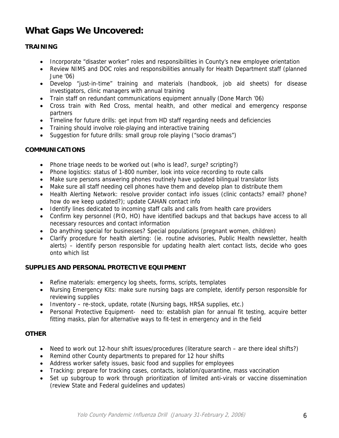## **What Gaps We Uncovered:**

#### **TRAINING**

- Incorporate "disaster worker" roles and responsibilities in County's new employee orientation
- Review NIMS and DOC roles and responsibilities annually for Health Department staff (planned June '06)
- Develop "just-in-time" training and materials (handbook, job aid sheets) for disease investigators, clinic managers with annual training
- Train staff on redundant communications equipment annually (Done March '06)
- Cross train with Red Cross, mental health, and other medical and emergency response partners
- Timeline for future drills: get input from HD staff regarding needs and deficiencies
- Training should involve role-playing and interactive training
- Suggestion for future drills: small group role playing ("socio dramas")

#### **COMMUNICATIONS**

- Phone triage needs to be worked out (who is lead?, surge? scripting?)
- Phone logistics: status of 1-800 number, look into voice recording to route calls
- Make sure persons answering phones routinely have updated bilingual translator lists
- Make sure all staff needing cell phones have them and develop plan to distribute them
- Health Alerting Network: resolve provider contact info issues (clinic contacts? email? phone? how do we keep updated?); update CAHAN contact info
- Identify lines dedicated to incoming staff calls and calls from health care providers
- Confirm key personnel (PIO, HO) have identified backups and that backups have access to all necessary resources and contact information
- Do anything special for businesses? Special populations (pregnant women, children)
- Clarify procedure for health alerting: (ie. routine advisories, Public Health newsletter, health alerts) – identify person responsible for updating health alert contact lists, decide who goes onto which list

#### **SUPPLIES AND PERSONAL PROTECTIVE EQUIPMENT**

- Refine materials: emergency log sheets, forms, scripts, templates
- Nursing Emergency Kits: make sure nursing bags are complete, identify person responsible for reviewing supplies
- Inventory re-stock, update, rotate (Nursing bags, HRSA supplies, etc.)
- Personal Protective Equipment- need to: establish plan for annual fit testing, acquire better fitting masks, plan for alternative ways to fit-test in emergency and in the field

#### **OTHER**

- Need to work out 12-hour shift issues/procedures (literature search are there ideal shifts?)
- Remind other County departments to prepared for 12 hour shifts
- Address worker safety issues, basic food and supplies for employees
- Tracking: prepare for tracking cases, contacts, isolation/quarantine, mass vaccination
- Set up subgroup to work through prioritization of limited anti-virals or vaccine dissemination (review State and Federal guidelines and updates)